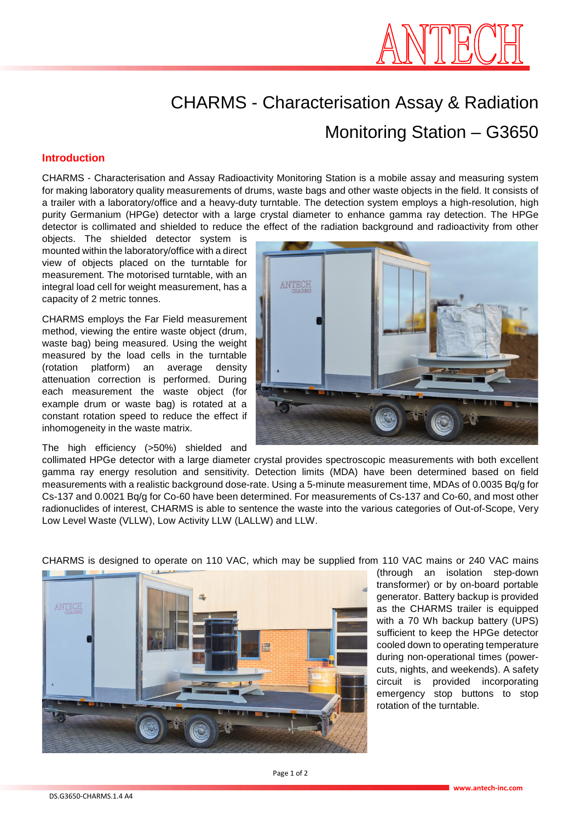

# CHARMS - Characterisation Assay & Radiation Monitoring Station – G3650

#### **Introduction**

CHARMS - Characterisation and Assay Radioactivity Monitoring Station is a mobile assay and measuring system for making laboratory quality measurements of drums, waste bags and other waste objects in the field. It consists of a trailer with a laboratory/office and a heavy-duty turntable. The detection system employs a high-resolution, high purity Germanium (HPGe) detector with a large crystal diameter to enhance gamma ray detection. The HPGe detector is collimated and shielded to reduce the effect of the radiation background and radioactivity from other

objects. The shielded detector system is mounted within the laboratory/office with a direct view of objects placed on the turntable for measurement. The motorised turntable, with an integral load cell for weight measurement, has a capacity of 2 metric tonnes.

CHARMS employs the Far Field measurement method, viewing the entire waste object (drum, waste bag) being measured. Using the weight measured by the load cells in the turntable (rotation platform) an average density attenuation correction is performed. During each measurement the waste object (for example drum or waste bag) is rotated at a constant rotation speed to reduce the effect if inhomogeneity in the waste matrix.

The high efficiency (>50%) shielded and



collimated HPGe detector with a large diameter crystal provides spectroscopic measurements with both excellent gamma ray energy resolution and sensitivity. Detection limits (MDA) have been determined based on field measurements with a realistic background dose-rate. Using a 5-minute measurement time, MDAs of 0.0035 Bq/g for Cs-137 and 0.0021 Bq/g for Co-60 have been determined. For measurements of Cs-137 and Co-60, and most other radionuclides of interest, CHARMS is able to sentence the waste into the various categories of Out-of-Scope, Very Low Level Waste (VLLW), Low Activity LLW (LALLW) and LLW.



CHARMS is designed to operate on 110 VAC, which may be supplied from 110 VAC mains or 240 VAC mains

(through an isolation step-down transformer) or by on-board portable generator. Battery backup is provided as the CHARMS trailer is equipped with a 70 Wh backup battery (UPS) sufficient to keep the HPGe detector cooled down to operating temperature during non-operational times (powercuts, nights, and weekends). A safety circuit is provided incorporating emergency stop buttons to stop rotation of the turntable.

Page 1 of 2